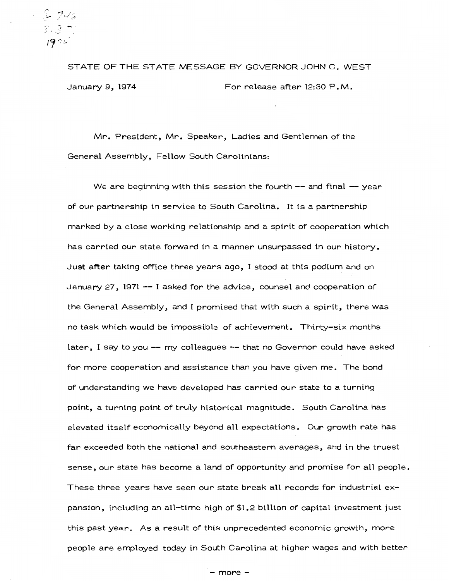-~ r"?. ,' *.:..:- '"I* ~\_..,. I >c ', /~ "1&

STATE OF THE STATE MESSAGE BY GOVERNOR JOHN C. WEST January 9, 1974 For release after 12:30 P.M.

Mr. President, Mr. Speaker, Ladies and Gentlemen of the General Assembly, Fellow South Carolinians:

We are beginning with this session the fourth  $-$  and final  $-$  year of our partnership in service to South Carolina. It is a partnership marked by a close working relationship and a spirit of cooperation which has carried our state forward in a manner unsurpassed in our history. Just after taking office three years ago, I stood at this podium and on January *27,* 1971 --I asked for the advice, counsel and cooperation of the General Assembly, and I promised that with such a spirit, there was no task which would be impossible of achievement. Thirty-six months later, I say to you-- my colleagues --that no Governor could have asked for more cooperation and assistance than you have given me. The bond of understanding we have developed has carried our state to a turning point, a turning point of truly historical magnitude. South Carolina has elevated itself economically beyond all expectations. Our growth rate has far exceeded both the national and southeastern averages, and in the truest sense, our state has become a land of opportunity and promise for all people. These three years have seen our state break all records for industrial expansion, including an all-time high of \$1.2 billion of capital investment just this past year. As a result of this unprecedented economic growth, more people are employed today in South Carolina at higher wages and with better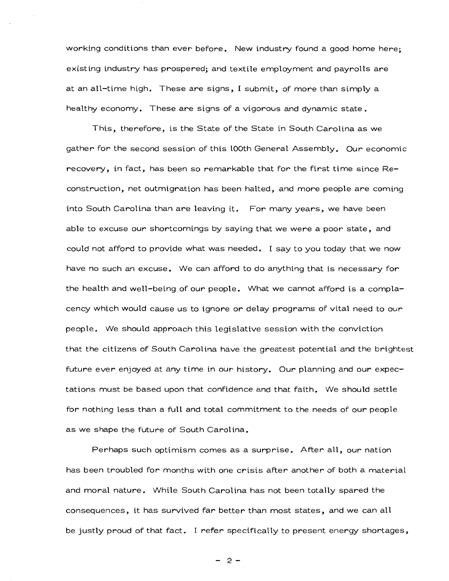working conditions than ever before. New industry found a good home here; existing industry has prospered; and textile employment and payrolls are at an all-time high. These are signs, I submit, of more than simply a healthy economy. These are signs of a vigorous and dynamic state.

This, therefore, is the State of the State in South Carolina as we gather for the second session of this lOOth General Assembly. Our economic recovery, in fact, has been so remarkable that for the first time since Reconstruction, net outmigration has been halted, and more people are coming into South Carolina than are leaving it. For many years, we have been able to excuse our shortcomings by saying that we were a poor state, and could not afford to provide what was needed. I say to you today that we now have no such an excuse. We can afford to do anything that is necessary for the health and well-being of our people. What we cannot afford is a complacency which would cause us to ignore or delay programs of vital need to our people. We should approach this legislative session with the conviction that the citizens of South Carolina have the greatest potential and the brightest future ever enjoyed at any time in our history. Our planning and our expectations must be based upon that confidence and that faith. We should settle for nothing less than a full and total commitment to the needs of our people as we shape the future of South Carolina.

Perhaps such optimism comes as a surprise. After all, our nation has been troubled for months with one crisis after another of both a material and moral nature. While South Carolina has not been totally spared the consequences, it has survived far better than most states, and we can all be justly proud of that fact. I refer specifically to present energy shortages,

- 2-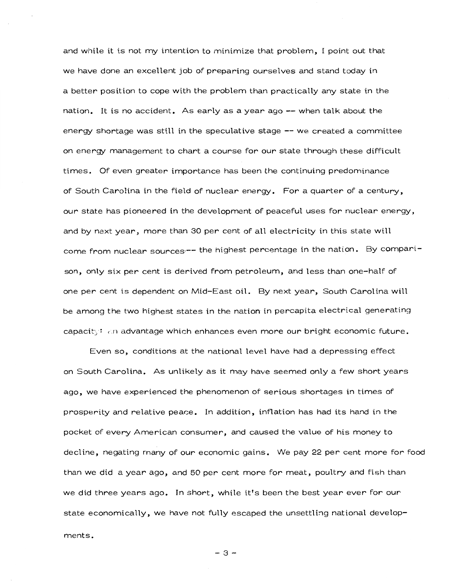and while it is not my intention to minimize that problem, I point out that we have done an excellent job of preparing ourselves and stand today in a better position to cope with the problem than practically any state in the nation. It is no accident. As early as a year ago-- when talk about the energy shortage was still in the speculative stage -- we created a committee on energy management to chart a course for our state through these difficult times. Of even greater importance has been the continuing predominance of South Carolina in the field of nuclear energy. For a quarter of a century, our state has pioneered in the development of peaceful uses for nuclear energy, and by next year, more than 30 per cent of all electricity in this state will come from nuclear sources -- the highest percentage in the nation. By comparison, only six per cent is derived from petroleum, and less than one-half of one per cent is dependent on Mid-East oil. By next year, South Carolina will be among the two highest states in the nation in percapita electrical generating capacity: an advantage which enhances even more our bright economic future.

Even *so,* conditions at the national level have had a depressing effect on South Carolina. As unlikely as it may have seemed only a few short years ago, we have experienced the phenomenon of serious shortages in times of prosperity and relative peace. In addition, inflation has had its hand in the pocket of every American consumer, and caused the value of his money to decline, negating many of our economic gains. We pay 22 per cent more for food than we did a year ago, and 50 per cent more for *meat,* poultry and fish than we did three years ago. In short, while it's been the best year ever for our state economically, we have not fully escaped the unsettling national developments.

-3-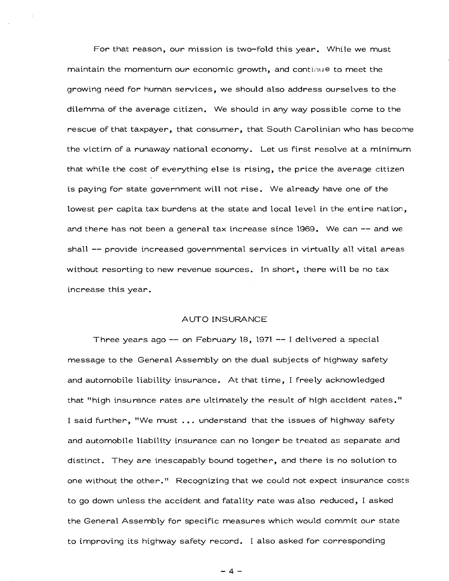For that reason, our mission is two-fold this year. While we must maintain the momentum our economic growth, and continue to meet the growing need for human services, we should also address ourselves to the dilemma of the average citizen. We should in any way possible come to the rescue of that taxpayer, that consumer, that South Carolinian who has become the victim of a runaway national economy. Let us first resolve at a minimum that while the cost of everything else is rising, the price the average citizen is paying for state government will not rise. We already have one of the lowest per capita tax burdens at the state and local level in the entire nation, and there has not been a general tax increase since 1969. We can -- and we shall -- provide increased governmental services in virtually all vital areas without resorting to new revenue sources. In short, there will be no tax increase this year.

### AUTO INSURANCE

Three years ago-- on February 18, 1971 --I delivered a special message to the General Assembly on the dual subjects of highway safety and automobile liability insurance. At that time, I freely acknowledged that "high insurance rates are ultimately the result of high accident rates." I said further, "We must ... understand that the issues of highway safety and automobile liability insurance can no longer be treated as separate and distinct. They are inescapably bound together, and there is no solution to one without the other." Recognizing that we could not expect insurance costs to go down unless the accident and fatality rate was also reduced, I asked the General Assembly for specific measures which would commit our state to improving its highway safety record. I also asked for corresponding

 $-4-$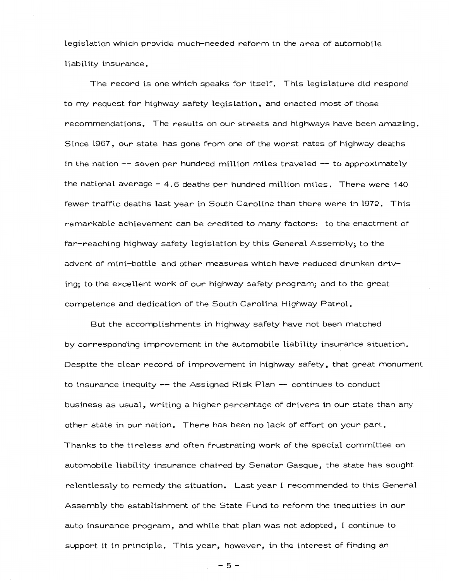legislation which provide much-needed reform in the area of automobile liability insurance.

The record is one which speaks for itself. This legislature did respond to my request for highway safety legislation, and enacted most of those recommendations. The results on our streets and highways have been amazing. Since 1967, our state has gone from one of the worst rates of highway deaths in the nation -- seven per hundred million miles traveled -- to approximately the national average – 4.6 deaths per hundred million miles. There were 140  $\,$ fewer traffic deaths last year in South Carolina than there were in 1972. This remarkable achievement can be credited to many factors: to the enactment of far-reaching highway safety legislation by this General Assembly; to the advent of mini-bottle and other measures which have reduced drunken driving; to the excellent work of our highway safety program; and to the great competence and dedication of the South Carolina Highway Patrol.

But the accomplishments in highway safety have not been matched by corresponding improvement in the automobile liability insurance situation. Despite the clear record of improvement in highway safety, that great monument to insurance inequity -- the Assigned Risk Plan -- continues to conduct business as usual, writing a higher percentage of drivers in our state than any other state in our nation. There has been no lack of effort on your part. Thanks to the tireless and often frustrating work of the special committee on automobile liability insurance chaired by Senator Gasque, the state has sought relentlessly to remedy the situation. Last year I recommended to this General Assembly the establishment of the State Fund to reform the inequities in our auto insurance program, and while that plan was not adopted, I continue to support it in principle. This year, however, in the interest of finding an

- 5-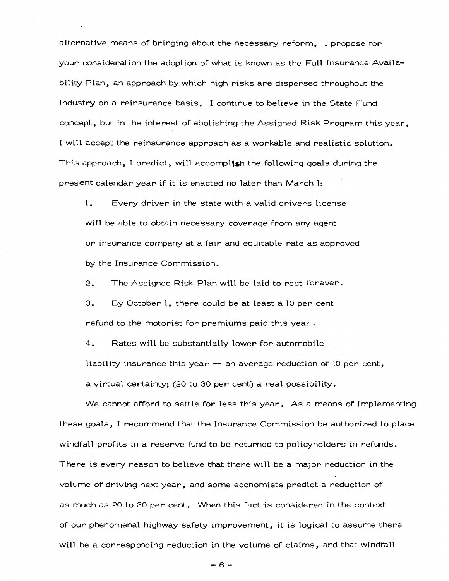alternative means of bringing about the necessary reform, I propose for your consideration the adoption of what is known as the Full Insurance Availability Plan, an approach by which high risks are dispersed throughout the industry on a reinsurance basis. I continue to believe in the State Fund concept, but in the interest of abolishing the Assigned Risk Program this year, I will accept the reinsurance approach as a workable and realistic solution. This approach, I predict, will accomplish the following goals during the present calendar year if it is enacted no later than March l:

l. Every driver in the state with a valid drivers license will be able to obtain necessary coverage from any agent or insurance company at a fair and equitable rate as approved by the Insurance Commission.

2. The Assigned Risk Plan will be laid to rest forever.

3. By October 1, there could be at least a 10 per cent refund to the motorist for premiums paid this year· .

4. Rates will be substantially lower for automobile

liability insurance this year  $-$  an average reduction of 10 per cent,

a virtual certainty; (20 to 30 per cent) a real possibility.

We cannot afford to settle for less this year. As a means of implementing these goals, I recommend that the Insurance Commission be authorized to place windfall profits in a reserve fund to be returned to policyholders in refunds. There is every reason to believe that there will be a major reduction in the volume of driving next year, and some economists predict a reduction of as much as 20 to 30 per cent. When this fact is considered in the context of our phenomenal highway safety improvement, it is logical to assume there will be a corresponding reduction in the volume of claims, and that windfall

-6-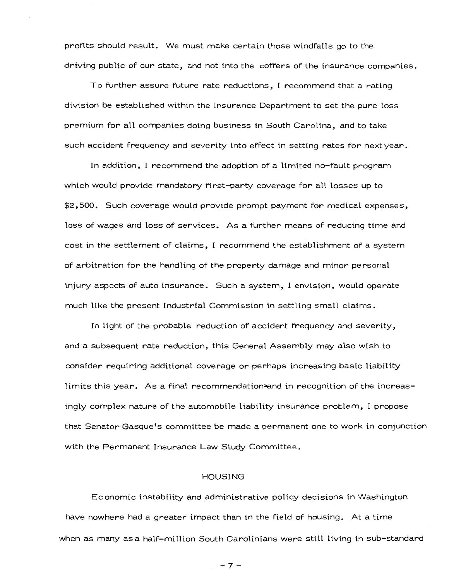profits should result. We must make certain those windfalls go to the driving public of our state, and not into the coffers of the insurance companies.

To further assure future rate reductions, I recommend that a rating division be established within the Insurance Department to set the pure loss premium for all companies doing business in South Carolina, and to take such accident frequency and severity into effect in setting rates for next year.

In addition, I recommend the adoption of a limited no-fault program which would provide mandatory first-party coverage for all losses up to  $$2,500$ . Such coverage would provide prompt payment for medical expenses, loss of wages and loss of services. As a further means of reducing time and cost in the settlement of claims, I recommend the establishment of a system of arbitration for the handling of the property damage and minor personal injury aspects of auto insurance. Such a system, I envision, would operate much like the present Industrial Commission in settling small claims.

In light of the probable reduction of accident frequency and severity, and a subsequent rate reduction, this General Assembly may also wish to consider requiring additional coverage or perhaps increasing basic liability limits this year. As a final recommendation<del>-a</del>nd in recognition of the increasingly complex nature of the automobile liability insurance problem, I propose that Senator Gasque's committee be made a permanent one to work in conjunction with the Permanent Insurance Law Study Committee.

#### HOUSING

Economic instability and administrative policy decisions in Washington have nowhere had a greater impact than in the field of housing. At a time when as many as a half-million South Carolinians were still living in sub-standard

-7-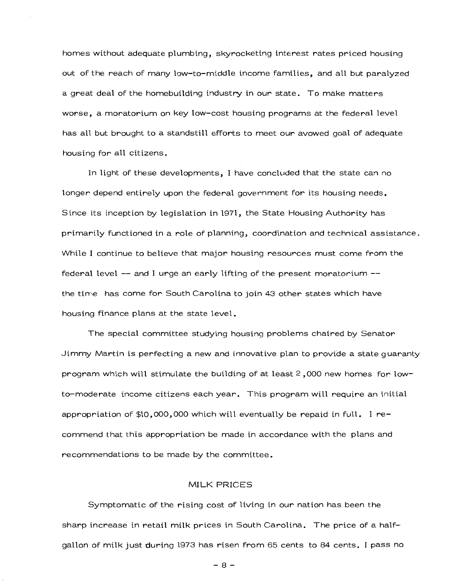homes without adequate plumbing, skyrocketing interest rates priced housing out of the reach of many low-to-middle income families, and all but paralyzed a great deal of the homebuilding industry in our state. To make matters worse, a moratorium on key low-cost housing programs at the federal level has all but brought to a standstill efforts to meet our avowed goal of adequate housing for all citizens.

In light of these developments, I have concluded that the state can no longer depend entirely upon the federal government for its housing needs. Since its inception by legislation in l97l, the State Housing Authority has primarily functioned in a role of planning, coordination and technical assistance. While I continue to believe that major housing resources must come from the federal level -- and I urge an early lifting of the present moratorium -the tirne has come for South Carolina to join 43 other states which have housing finance plans at the state level.

The special committee studying housing problems chaired by Senator Jimmy Martin is perfecting a new and innovative plan to provide a state guaranty program which will stimulate the building of at least 2 , 000 new homes for lowto-moderate income citizens each year. This program will require an initial appropriation of \$10,000,000 which will eventually be repaid in full. I recommend that this appropriation be made in accordance with the plans and recommendations to be made by the committee.

# MILK PRICES

Symptomatic of the rising cost of living in our nation has been the sharp increase in retail milk prices in South Carolina. The price of a halfgallon of milk just during 1973 has risen from 65 cents to 84 cents. I pass no

-8-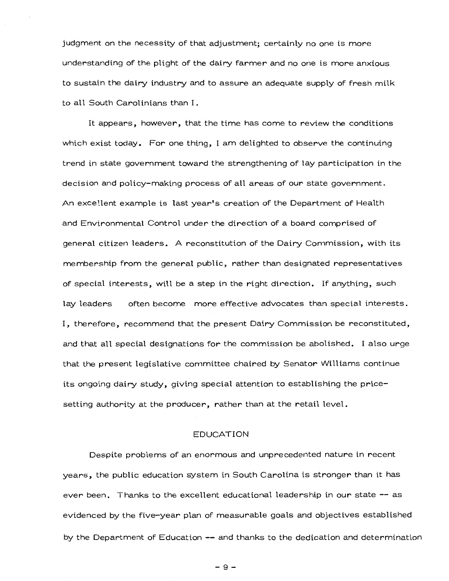judgment on the necessity of that adjustment; certainly no one is more understanding of the plight of the dairy farmer and no one is more anxious to sustain the dairy industry and to assure an adequate supply of fresh milk to all South Carolinians than I.

It appears, however, that the time has come to review the conditions which exist today. For one thing, I am delighted to observe the continuing trend in state government toward the strengthening of lay participation in the decision and policy-making process of all areas of our state government. An excel.lent example is last year's creation of the Department of Health and Environmental Control under the direction of a board comprised of general citizen leaders. A reconstitution of the Dairy Commission, with its membership from the general public, rather than designated representatives of special interests, will be a step in the right direction. If anything, such lay leaders often become more effective advocates than special interests. I, therefore, recommend that the present Dairy Commission be reconstituted, and that all special designations for the commission be abolished. I also urge that the present legislative committee chaired by Senator Williams continue its ongoing dairy study, giving special attention to establishing the pricesetting authority at the producer, rather than at the retail level.

### EDUCATION

Despite problems of an enormous and unprecedented nature in recent years, the public education system in South Carolina is stronger than it has ever been. Thanks to the excellent educational leadership in our state -- as evidenced by the five-year plan of measurable goals and objectives established by the Department of Education -- and thanks to the dedication and determination

-9-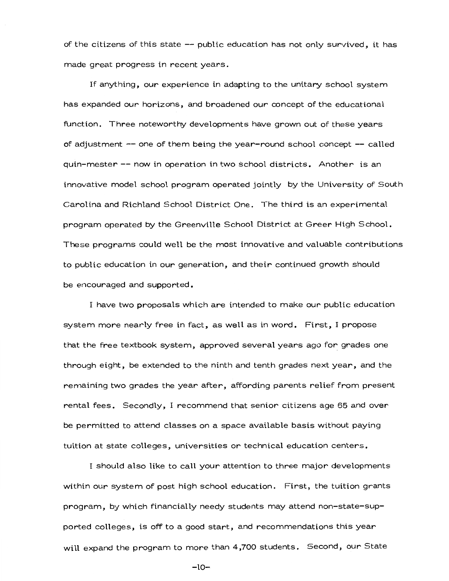of the citizens of this state  $-$  public education has not only survived, it has made great progress in recent years.

If anything, our experience in adapting to the unitary school system has expanded our horizons, and broadened our concept of the educational function. Three noteworthy developments have grown out of these years of adjustment -- one of them being the year-round school concept -- called quin-mester -- now in operation in two school districts. Another is an innovative model school program operated jointly by the University of South Carolina and Richland School District One. The third is an experimental program operated by the Greenville School District at Greer High School. These programs could well be the most innovative and valuable contributions to public education in our generation, and their continued growth should be encouraged and supported.

I have two proposals which are intended to make our public education system more nearly free in fact, as well as in word. First, I propose that the free textbook system, approved several years ago for grades one through eight, be extended to the ninth and tenth grades next year, and the remaining two grades the year after, affording parents relief from present rental fees. Secondly, I recommend that senior citizens age 65 and over be permitted to attend classes on a space available basis without paying tuition at state colleges, universities or technical education centers.

I should also like to call your attention to three major developments within our system of post high school education. First, the tuition grants program, by which financially needy students may attend non-state-supported colleges, is off to a good start, and recommendations this year will expand the program to more than 4,700 students. Second, our State

-10-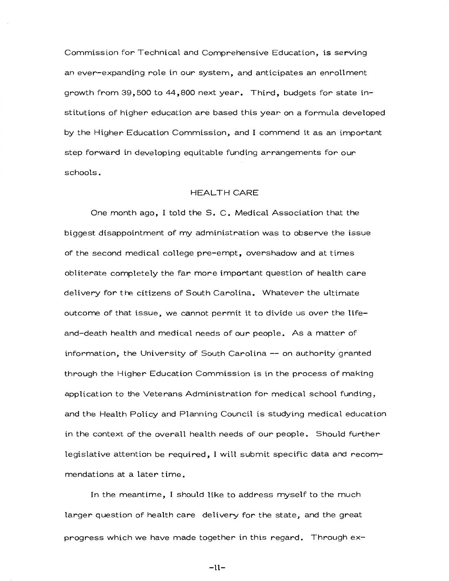Commission for Technical and Comprehensive Education, is serving an ever-expanding role in our system, and anticipates an enrollment growth from 39, 500 to 44,800 next year. Third, budgets for state institutions of higher education are based this year on a formula developed by the Higher Education Commission, and I commend it as an important step forward in developing equitable funding arrangements for our schools.

# HEALTH CARE

One month ago, I told the S. C. Medical Association that the biggest disappointment of my administration was to observe the issue of the second medical college pre-empt, overshadow and at times obliterate completely the far more important question of health care delivery for the citizens of South Carolina. Whatever the ultimate outcome of that issue, we cannot permit it to divide us over the lifeand-death health and medical needs of our people. As a matter of information, the University of South Carolina -- on authority granted through the Higher Education Commission is in the process of making application to the Veterans Administration for medical school funding, and the Health Policy and Planning Council is studying medical education in the context of the overall health needs of our people. Should further legislative attention be required, I will submit specific data and recommendations at a later time.

In the meantime, I should like to address myself to the much larger question of health care delivery for the state, and the great progress which we have made together in this regard. Through ex-

-ll-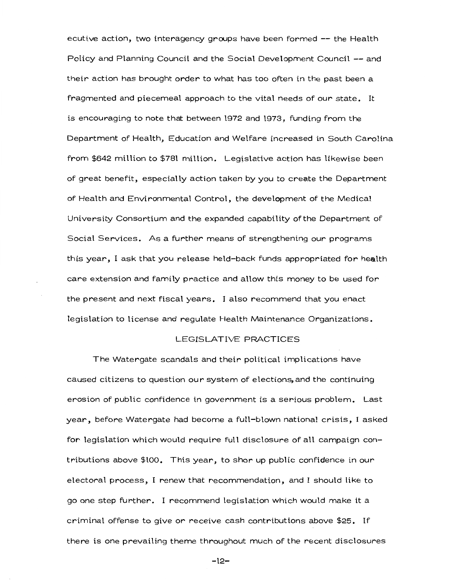ecutive action, two interagency groups have been formed -- the Health Policy and Planning Council and the Social Development Council -- and their action has brought order to what has too often in the past been a fragmented and piecemeal approach to the vital needs of our state. It is encouraging to note that between 1972 and 1973, funding from the Department of Health, Education and Welfare increased in South Carolina from \$642 million to \$781 million. Legislative action has likewise been of great benefit, especially action taken by you to create the Department of Health and Environmental Control, the development of the Medical University Consortium and the expanded capability ofthe Department of Social Services. As a further means of strengthening our programs this year, I ask that you release held-back funds appropriated for health care extension and family practice and allow this money to be used for the present and next fiscal years. I also recommend that you enact legislation to license and regulate Health Maintenance Organizations.

# LEGISLATIVE PRACTICES

The Watergate scandals and their political implications have caused citizens to question our system of elections, and the continuing erosion of public confidence in government is a serious problem. Last year, before Watergate had become a full-blown national crisis, I asked for legislation which would require full disclosure of all campaign contributions above \$100. This year, to shor up public confidence in our electoral process, I renew that recommendation, and I should like to go one step further. I recommend legislation which would make it a criminal offense to give or receive cash contributions above \$25. If there is one prevailing theme throughout much of the recent disclosures

-12-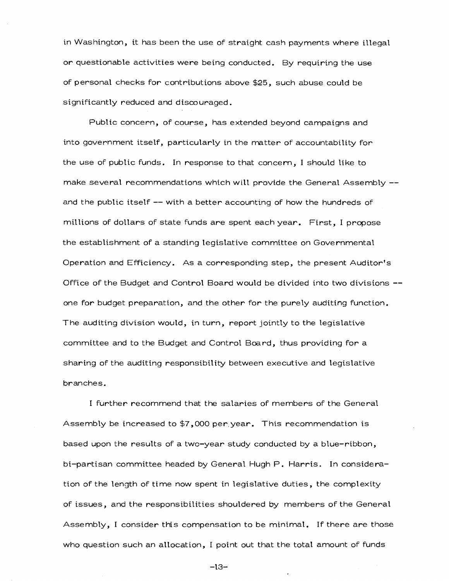in Washington, it has been the use of straight cash payments where illegal or questionable activities were being conducted. By requiring the use of personal checks for contributions above \$25, such abuse could be significantly reduced and discouraged.

Public concern, of course, has extended beyond campaigns and into government itself, particularly in the matter of accountability for the use of public funds. In response to that concern, I should like to make several recommendations which will provide the General Assembly -and the public itself -- with a better accounting of how the hundreds of millions of dollars of state funds are spent each year. First, I propose the establishment of a standing legislative committee on Governmental Operation and Efficiency. As a corresponding step, the present Auditor's Office of the Budget and Control Board would be divided into two divisions - one for budget preparation, and the other for the purely auditing function. The auditing division would, in turn, report jointly to the legislative committee and to the Budget and Control Board, thus providing for a sharing of the auditing responsibility between executive and legislative branches.

I further recommend that the salaries of members of the General Assembly be increased to \$7,000 per.year. This recommendation is based upon the results of a two-year study conducted by a blue-ribbon, bi-partisan committee headed by General Hugh P. Harris. In consideration of the length of time now spent in legislative duties, the complexity of issues, and the responsibilities shouldered by members of the General Assembly, I consider this compensation to be minimal. If there are those who question such an allocation, I point out that the total amount of funds

-13-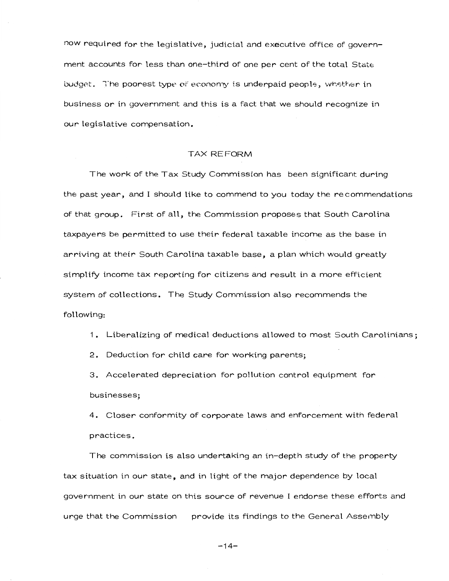now required for the legislative, judicial and executive office of government accounts for less than one-third of one per cent of the total State budget. The poorest type of economy is underpaid people, whether in business or in government and this is a fact that we should recognize in our legislative compensation.

### TAX REFORM

The work of the Tax Study Commission has been significant during the past year, and I should like to commend to you today the recommendations of that group. First of all, the Commission proposes that South Carolina taxpayers be permitted to use their federal taxable income as the base in arriving at their South Carolina taxable base, a plan which would greatly simplify income tax reporting for citizens and result in a more efficient system of collections. The Study Commission also recommends the following:

1. Liberalizing of medical deductions allowed to most South Carolinians;

2. Deduction for child care for working parents;

3. Accelerated depreciation for pollution control equipment for businesses;

4. Closer conformity of corporate laws and enforcement with federal practices.

The commission is also undertaking an in-depth study of the property tax situation in our state, and in light of the major dependence by local government in our state on this source of revenue I endorse these efforts and urge that the Commission provide its findings to the General Assembly

-14-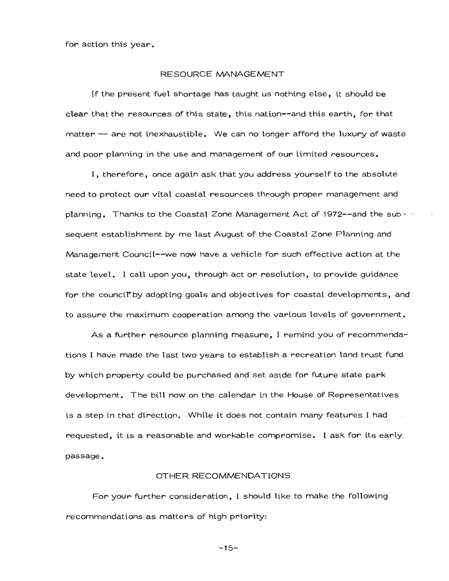for action this year.

#### RESOURCE MANAGEMENT

If the present fuel shortage has taught us nothing else, it should be clear that the resources of this state, this nation--and this earth, for that matter -- are not inexhaustible. We can no longer afford the luxury of waste and poor planning in the use and management of our limited resources.

I, therefore, once again ask that you address yourself to the absolute need to protect our vital coastal resources through proper management and planning. Thanks to the Coastal Zone Management Act of 1972--and the subsequent establishment by me last August of the Coastal Zone Planning and Management Council--we now have a vehicle for such effective action at the state level. I call upon you, through act or resolution, to provide guidance for the council by adopting goals and objectives for coastal developments, and to assure the maximum cooperation among the various levels of government.

As a further resource planning measure, I remind you of recommendations I have made the last two years to establish a recreation land trust fund by which property could be purchased and set aside for future state park development. The bill now on the calendar in the House of Representatives is a step in that direction. While it does not contain many features I had requested, it is a reasonable and workable compromise. I ask for its early passage.

## OTHER RECOMMENDATIONS

For your further consideration, I should like to make the following recommendations as matters of high priority:

 $-15-$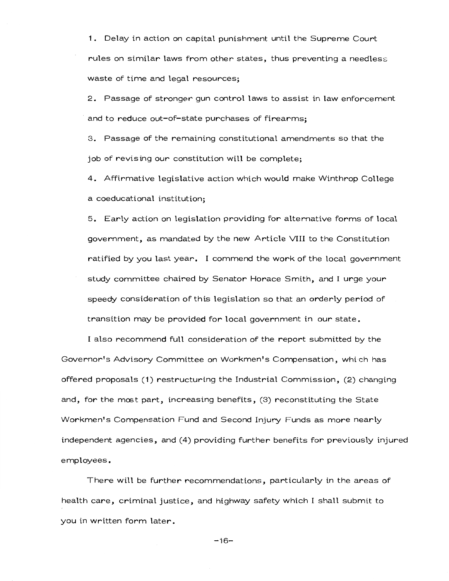1. Delay in action on capital punishment until the Supreme Court rules on similar laws from other states, thus preventing a needless waste of time and legal resources;

2. Passage of stronger gun control laws to assist in law enforcement and to reduce out-of-state purchases of firearms;

3. Passage of the remaining constitutional amendments so that the job of revising our constitution will be complete;

4. Affirmative legislative action which would make Winthrop College a coeducational institution;

5. Early action on legislation providing for alternative forms of local government, as mandated by the new Article VIII to the Constitution ratified by you last year. I commend the work of the local government study committee chaired by Senator Horace Smith, and I urge your speedy consideration of this legislation so that an orderly period of transition may be provided for local government in our state.

I also recommend full consideration of the report submitted by the Governor's Advisory Committee on Workmen's Compensation, which has offered proposals (1) restructuring the Industrial Commission, (2) changing and, for the most part, increasing benefits, (3) reconstituting the State Workmen's Compensation Fund and Second Injury Funds as more nearly independent agencies, and (4) providing further benefits for previously injured employees.

There will be further recommendations, particularly in the areas of health care, criminal justice, and highway safety which I shall submit to you in written form later.

-16-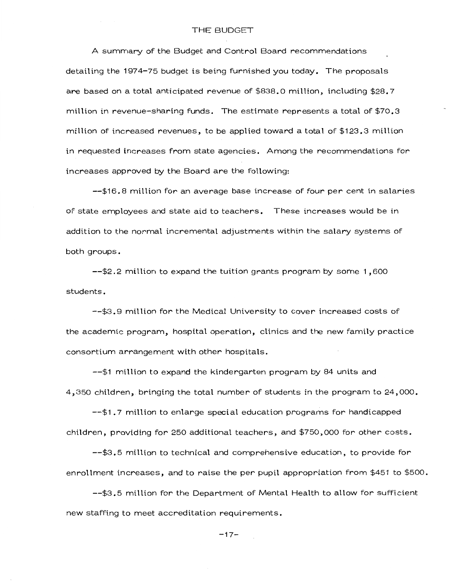A summary of the Budget and Control Board recommendations detailing the 1974-75 budget is being furnished you today. The proposals are based on a total anticipated revenue of \$838.0 million, including \$28.7 million in revenue-sharing funds. The estimate represents a total of \$70.3 million of increased revenues, to be applied toward a total of \$123.3 million in requested increases from state agencies. Among the recommendations for increases approved by the Board are the following:

--\$16.8 million for an average base increase of four per cent in salaries of state employees and state aid to teachers. These increases would be in addition to the normal incremental adjustments within the salary systems of both groups.

--\$2.2 million to expand the tuition grants program by some 1,600 students.

--\$3.9 million for the Medical University to cover increased costs of the academic program, hospital operation, clinics and the new family practice consortium arrangement with other hospitals.

--\$1 million to expand the kindergarten program by 84 units and 4,350 children, bringing the total number of students in the program to 24,000.

--\$1.7 million to enlarge special education programs for handicapped children, providing for 250 additional teachers, and \$750,000 for other costs.

--\$3.5 mi 11 ion to technical and comprehensive education, to provide for enrollment increases, and to raise the per pupil appropriation from \$451 to \$500.

--\$3.5 mi Ilion for the Department of Mental Health to allow for sufficient new staffing to meet accreditation requirements.

-17-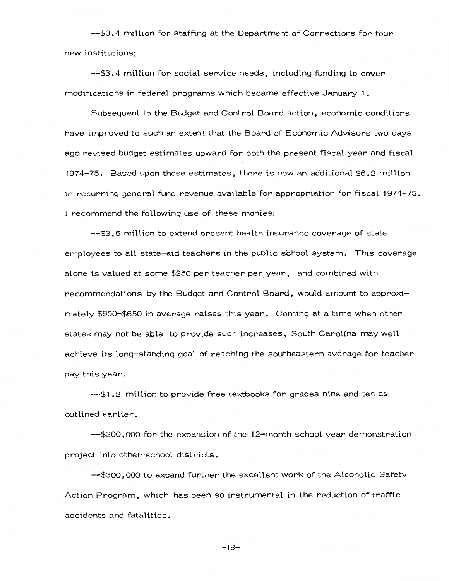--\$3.4 million for staffing at the Department of Corrections for four new institutions;

--\$3.4 million for social service needs, including funding to cover modifications in federal programs which became effective January 1,  $\overline{\phantom{a}}$ 

Subsequent to the Budget and Control Board action, economic conditions have improved to such an extent that the Board of Economic Advisors two days ago revised budget estimates upward for both the present fiscal year and fiscal 1974-75. Based upon these estimates, there is now an additional \$6.2 million in recurring gene rat fund revenue available for appropriation for fiscal 1974-75. I recommend the following use of these monies:

--\$3.5 million to extend present health insurance coverage of state employees to all state-aid teachers in the public school system. This coverage alone is valued at some \$250 per teacher per year, and combined with recommendations by the Budget and Control Board, would amount to approximately \$600-\$650 in average raises this year. Coming at a time when other states may not be able to provide such increases, South Carolina may well achieve its long-standing goal of reaching the southeastern average for teacher pay this year.

----\$1 . 2 million to provide free textbooks for grades nine and ten as outlined earlier.

--\$300,000 for the expansion of the 12-month school year demonstration project into other ·school districts.

--\$300,000 to expand further the excellent work of the Alcoholic Safety Action Program, which has been so instrumental in the reduction of traffic accidents and fatalities.

-18-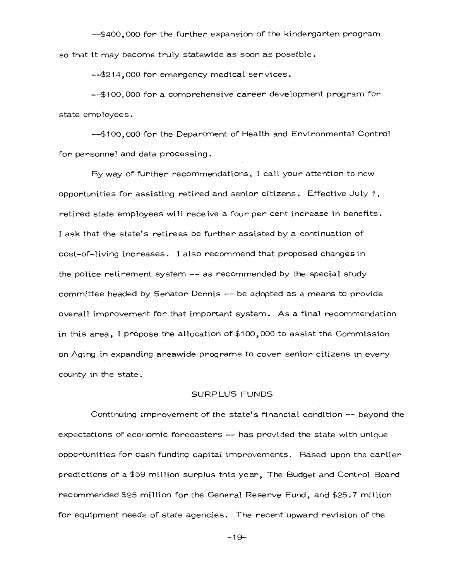--\$400,000 for the further expansion of the kindergarten program so that it may become truly statewide as soon as possible.

--\$214,000 for emergency medical services.

--\$100,000 for a comprehensive career development program for state employees.

--\$100,000 for the Department of Health and Environmental Control for personnel and data processing.

By way of further recommendations, I call your attention to new opportunities for assisting retired and senior citizens.  $\;$  Effective July 1,  $\;$ retired state employees will receive a four per cent increase in benefits. I ask that the state's retirees be further assisted by a continuation of cost-of-living increases. I also recommend that proposed changes in the police retirement system -- as recommended by the special study committee headed by Senator Dennis -- be adopted as a means to provide overall improvement for that important system. As a final recommendation in this area, I propose the allocation of  $$100,000$  to assist the Commission on Aging in expanding areawide programs to cover senior citizens in every county in the state .

# SURPLUS FUNDS

Continuing improvement of the state's financial condition-- beyond the expectations of economic forecasters -- has provided the state with unique opportunities for cash funding capital improvements. Based upon the earlier predictions of a \$59 million surplus this year, The Budget and Control Board recommended \$25 million for the General Reserve Fund, and \$25.7 million for equipment needs of state agencies. The recent upward revision of the

-19-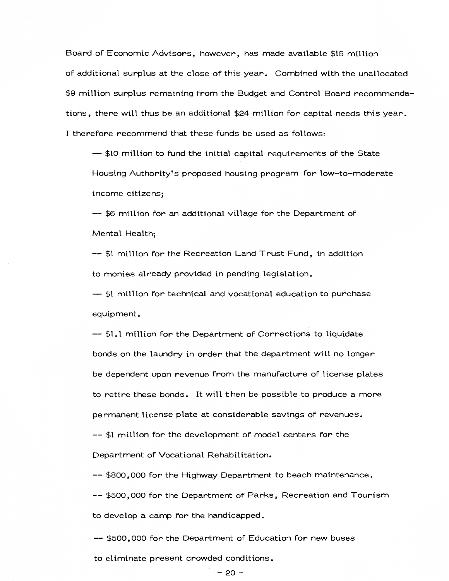Board of Economic Advisors, however, has made available \$15 million of additional surplus at the close of this year. Combined with the unallocated \$9 million surplus remaining from the Budget and Control Board recommendations, there will thus be an additional \$24 million for capital needs this year. I therefore recommend that these funds be used as follows:

-- \$10 mill ion to fund the initial capital requirements of the State Housing Authority's proposed housing program for low-to-moderate income citizens;

-- \$6 mill ion for an additional village for the Department of Mental Health;

-- \$1 million for the Recreation Land Trust Fund, in addition to monies already provided in pending legislation.

-- \$1 million for technical and vocational education to purchase equipment.

-- \$1.1 million for the Department of Corrections to liquidate bonds on the laundry in order that the department will no longer be dependent upon revenue from the manufacture of license plates to retire these bonds. It will then be possible to produce a more permanent license plate at considerable savings of revenues. -- \$1 million for the development of model centers for the Department of Vocational Rehabilitation.

-- \$800, 000 for the Highway Department to beach maintenance. -- \$500, 000 for the Department of Parks, Recreation and Tourism to develop a camp for the handicapped.

-- \$500,000 for the Department of Education for new buses to eliminate present crowded conditions.

#### -20-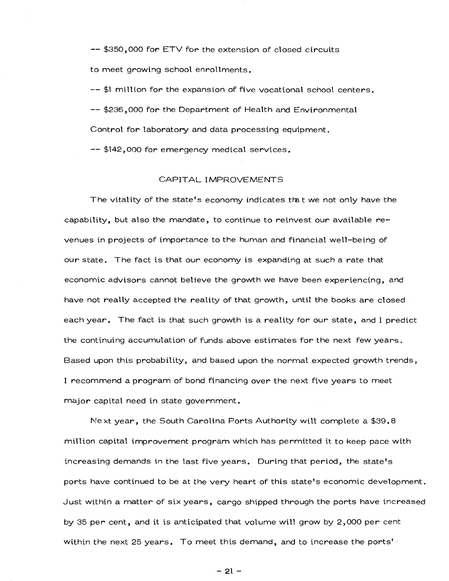-- *\$350,000* for ETV for the extension of closed circuits to meet growing school enrollments.

--\$1 million for the expansion of five vocational school centers. -- \$236,000 for the Department of Health and Environmental Control for laboratory and data processing equipment.

-- \$142,000 for emergency medical services.

#### CAPITAL IMPROVEMENTS

The vitality of the state's economy indicates that we not only have the capability, but also the mandate, to continue to reinvest our available revenues in projects of importance to the human and financial well-being of our state. The fact is that our economy is expanding at such a rate that economic advisors cannot believe the growth we have been experiencing, and have not really accepted the reality of that growth, until the books are closed each year. The fact is that such growth is a reality for our state, and I predict the continuing accumulation of funds above estimates for the next few years. Based upon this probability, and based upon the normal expected growth trends,  $\,$ I recommend a program of bond financing over the next five years to meet major capital need in state government.

1\!ext year, the South Carolina Ports Authority will complete a \$39.8 million capital improvement program which has permitted it to keep pace with increasing demands in the last five years. During that period, the state's ports have continued to be at the very heart of this state's economic development. Just within a matter of six years, cargo shipped through the ports have increased by 35 per cent, and it is anticipated that volume will grow by 2,000 per cent within the next 25 years. To meet this demand, and to increase the ports'·

 $-21-$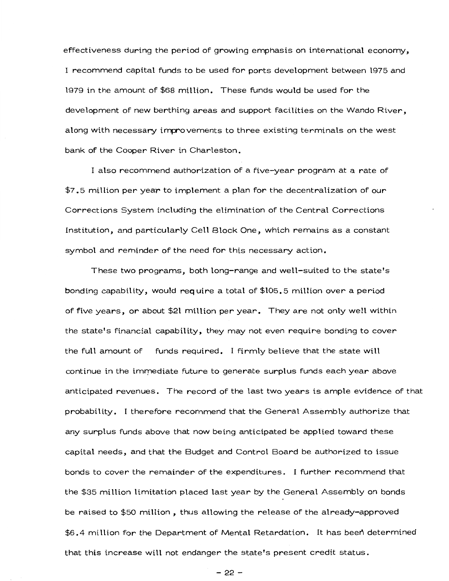effectiveness during the period of growing emphasis on international economy, I recommend capital funds to be used for ports development between 1975 and 1979 in the amount of \$68 million. These funds would be used for the development of new berthing areas and support facilities on the Wando River, along with necessary improvements to three existing terminals on the west bank of the Cooper River in Charleston.

I also recommend authorization of a five-year program at a rate of  $\$7.5$  million per year to implement a plan for the decentralization of our Corrections System including the elimination of the Central Corrections Institution, and particularly Cell Block One, which remains as a constant symbol and reminder of the need for this necessary action.

These two programs, both long-range and well-suited to the state's bonding capability, would require a total of\$105.5 million over a period of five years, or about \$21 million per year. They are not only well within the state's financial capability, they may not even require bonding to cover the full amount of funds required. I firmly believe that the state will continue in the immediate future to generate surplus funds each year above anticipated revenues. The record of the last two years is ample evidence of that probability. I therefore recommend that the General Assembly authorize that any surplus funds above that now being anticipated be applied toward these capital needs, and that the Budget and Control Board be authorized to issue bonds to cover the remainder of the expenditures. I further recommend that the \$35 million limitation placed last year by the General Assembly on bonds be raised to \$50 million, thus allowing the release of the already-approved \$6.4 million for the Department of Mental Retardation. It has been determined that this increase witt not endanger the state's present credit status.

-22-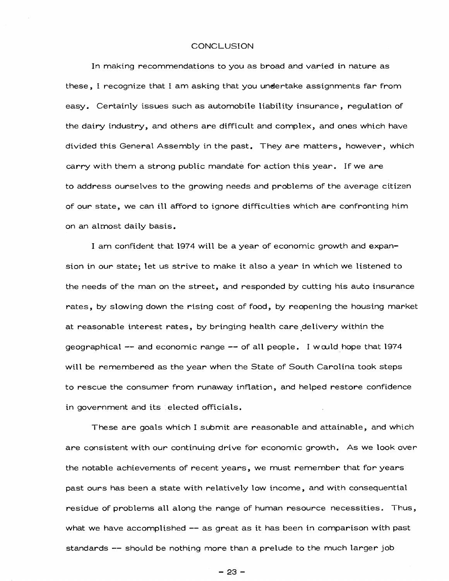#### **CONCLUSION**

In making recommendations to you as broad and varied in nature as these, I recognize that I am asking that you undertake assignments far from easy. Certainly issues such as automobile liability insurance, regulation of the dairy industry, and others are difficult and complex, and ones which have divided this General Assembly in the past. They are matters, however, which carry with them a strong public mandate for action this year. If we are to address ourselves to the growing needs and problems of the average citizen of our state, we can ill afford to ignore difficulties which are confronting him on an almost daily basis.

I am confident that 1974 will be a year of economic growth and expansion in our state; let us strive to make it also a year in which we listened to the needs of the man on the street, and responded by cutting his auto insurance rates, by slowing down the rising cost of food, by reopening the housing market at reasonable interest rates, by bringing health care delivery within the geographical  $-$  and economic range  $-$  of all people. I would hope that 1974 will be remembered as the year when the State of South Carolina took steps to rescue the consumer from runaway inflation, and helped restore confidence in government and its elected officials.

These are goals which I submit are reasonable and attainable, and which are consistent with our continuing drive for economic growth. As we look over the notable achievements of recent years, we must remember that for years past ours has been a state with relatively low income, and with consequential residue of problems all along the range of human resource necessities. Thus, what we have accomplished -- as great as it has been in comparison with past standards -- should be nothing more than a prelude to the much larger job

-23-